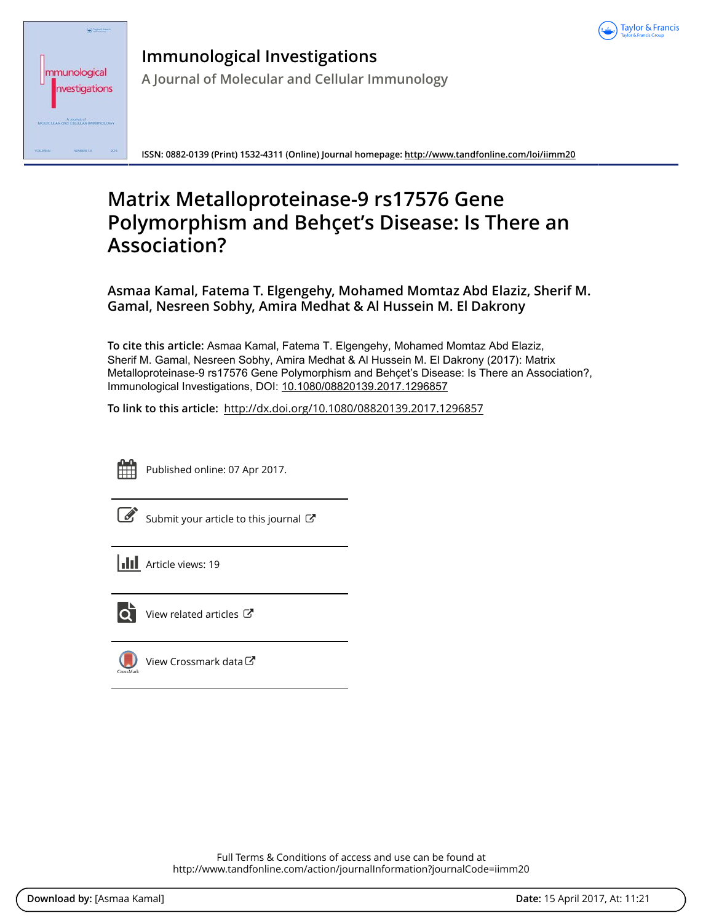

| Taylor & Francis                              |
|-----------------------------------------------|
| mmunological                                  |
| nvestigations                                 |
| A doumot at<br>MOLECULAR and CELLULAR IMMUNOL |
| 2015<br>VOLUME 44<br>NUMBERS 1.8              |

**Immunological Investigations A Journal of Molecular and Cellular Immunology**

**ISSN: 0882-0139 (Print) 1532-4311 (Online) Journal homepage:<http://www.tandfonline.com/loi/iimm20>**

# **Matrix Metalloproteinase-9 rs17576 Gene Polymorphism and Behçet's Disease: Is There an Association?**

**Asmaa Kamal, Fatema T. Elgengehy, Mohamed Momtaz Abd Elaziz, Sherif M. Gamal, Nesreen Sobhy, Amira Medhat & Al Hussein M. El Dakrony**

**To cite this article:** Asmaa Kamal, Fatema T. Elgengehy, Mohamed Momtaz Abd Elaziz, Sherif M. Gamal, Nesreen Sobhy, Amira Medhat & Al Hussein M. El Dakrony (2017): Matrix Metalloproteinase-9 rs17576 Gene Polymorphism and Behçet's Disease: Is There an Association?, Immunological Investigations, DOI: [10.1080/08820139.2017.1296857](http://www.tandfonline.com/action/showCitFormats?doi=10.1080/08820139.2017.1296857)

**To link to this article:** <http://dx.doi.org/10.1080/08820139.2017.1296857>



Published online: 07 Apr 2017.

[Submit your article to this journal](http://www.tandfonline.com/action/authorSubmission?journalCode=iimm20&show=instructions)  $\mathbb{Z}$ 

**Article views: 19** 



 $\overline{Q}$  [View related articles](http://www.tandfonline.com/doi/mlt/10.1080/08820139.2017.1296857)  $\mathbb{Z}$ 

[View Crossmark data](http://crossmark.crossref.org/dialog/?doi=10.1080/08820139.2017.1296857&domain=pdf&date_stamp=2017-04-07)  $\sigma$ 

Full Terms & Conditions of access and use can be found at <http://www.tandfonline.com/action/journalInformation?journalCode=iimm20>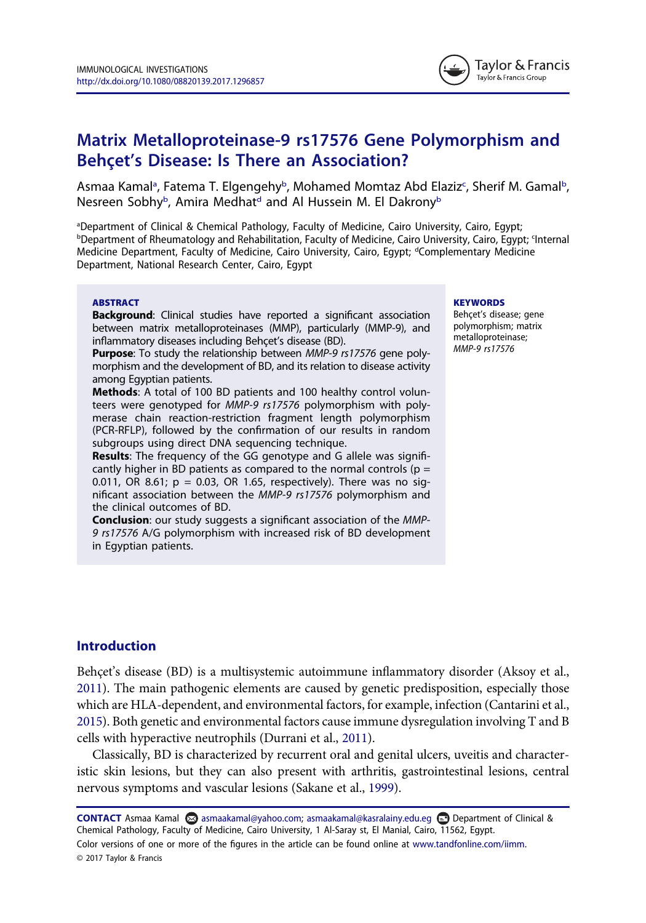

# Matrix Metalloproteinase-9 rs17576 Gene Polymorphism and Behçet's Disease: Is There an Association?

Asmaa Kamal<sup>a</sup>, Fatema T. Elgengehy<sup>b</sup>, Mohamed Momtaz Abd E[la](#page-1-0)ziz<sup>c</sup>, Sherif M. Gamal<sup>[b](#page-1-1)</sup>, Nesreen Sobhy<sup>b</sup>, Amira Medhat<sup>d</sup> and Al Hussein M. El Dakrony<sup>b</sup>

<span id="page-1-2"></span><span id="page-1-1"></span><span id="page-1-0"></span><sup>a</sup>Department of Clinical & Chemical Pathology, Faculty of Medicine, Cairo University, Cairo, Egypt; **bDepartment of Rheumatology and Rehabilitation, Faculty of Medicine, Cairo University, Cairo, Egypt; <Internal** Medicine Department, Faculty of Medicine, Cairo University, Cairo, Egypt; dComplementary Medicine Department, National Research Center, Cairo, Egypt

#### ABSTRACT

**Background:** Clinical studies have reported a significant association between matrix metalloproteinases (MMP), particularly (MMP-9), and inflammatory diseases including Behçet's disease (BD).

**Purpose:** To study the relationship between MMP-9 rs17576 gene polymorphism and the development of BD, and its relation to disease activity among Egyptian patients.

Methods: A total of 100 BD patients and 100 healthy control volunteers were genotyped for MMP-9 rs17576 polymorphism with polymerase chain reaction-restriction fragment length polymorphism (PCR-RFLP), followed by the confirmation of our results in random subgroups using direct DNA sequencing technique.

Results: The frequency of the GG genotype and G allele was significantly higher in BD patients as compared to the normal controls ( $p =$ 0.011, OR 8.61;  $p = 0.03$ , OR 1.65, respectively). There was no significant association between the MMP-9 rs17576 polymorphism and the clinical outcomes of BD.

**Conclusion:** our study suggests a significant association of the MMP-9 rs17576 A/G polymorphism with increased risk of BD development in Egyptian patients.

#### **KEYWORDS**

Behçet's disease; gene polymorphism; matrix metalloproteinase; MMP-9 rs17576

# Introduction

Behçet's disease (BD) is a multisystemic autoimmune inflammatory disorder (Aksoy et al., [2011\)](#page-7-0). The main pathogenic elements are caused by genetic predisposition, especially those which are HLA-dependent, and environmental factors, for example, infection (Cantarini et al., [2015\)](#page-7-1). Both genetic and environmental factors cause immune dysregulation involving T and B cells with hyperactive neutrophils (Durrani et al., [2011\)](#page-8-0).

Classically, BD is characterized by recurrent oral and genital ulcers, uveitis and characteristic skin lesions, but they can also present with arthritis, gastrointestinal lesions, central nervous symptoms and vascular lesions (Sakane et al., [1999](#page-9-0)).

CONTACT Asmaa Kamal asmaakamal@yahoo.com; asmaakamal@kasralainy.edu.eg **□** Department of Clinical & Chemical Pathology, Faculty of Medicine, Cairo University, 1 Al-Saray st, El Manial, Cairo, 11562, Egypt. Color versions of one or more of the figures in the article can be found online at [www.tandfonline.com/iimm](http://www.tandfonline.com/iimm). © 2017 Taylor & Francis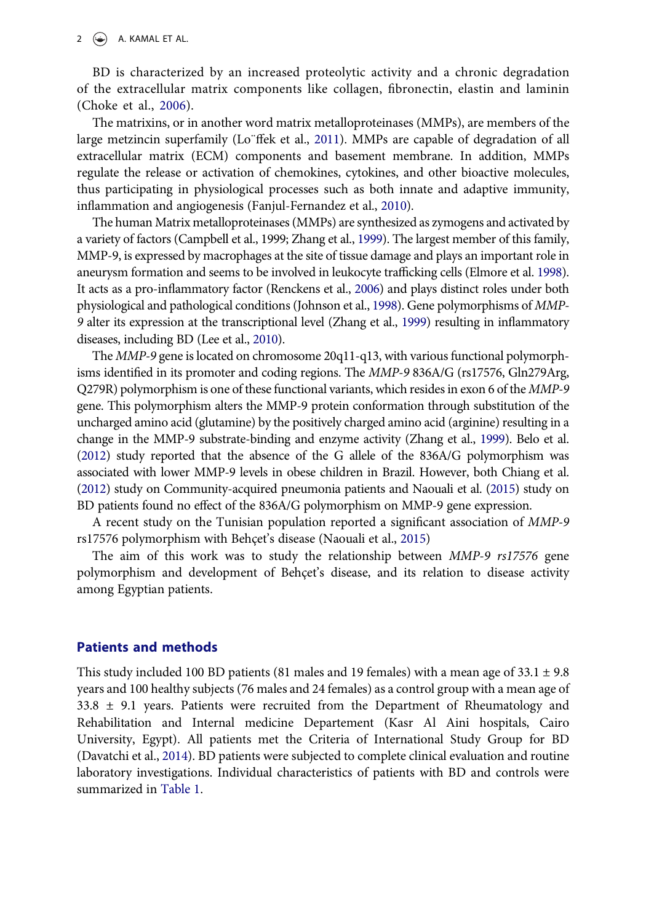#### 2  $\left(\bigcirc\right)$  A. KAMAL ET AL.

BD is characterized by an increased proteolytic activity and a chronic degradation of the extracellular matrix components like collagen, fibronectin, elastin and laminin (Choke et al., [2006](#page-8-1)).

The matrixins, or in another word matrix metalloproteinases (MMPs), are members of the large metzincin superfamily (Lo¨ffek et al., [2011\)](#page-8-2). MMPs are capable of degradation of all extracellular matrix (ECM) components and basement membrane. In addition, MMPs regulate the release or activation of chemokines, cytokines, and other bioactive molecules, thus participating in physiological processes such as both innate and adaptive immunity, inflammation and angiogenesis (Fanjul-Fernandez et al., [2010](#page-8-3)).

The human Matrix metalloproteinases (MMPs) are synthesized as zymogens and activated by a variety of factors (Campbell et al., 1999; Zhang et al., [1999](#page-9-1)). The largest member of this family, MMP-9, is expressed by macrophages at the site of tissue damage and plays an important role in aneurysm formation and seems to be involved in leukocyte trafficking cells (Elmore et al. [1998](#page-8-4)). It acts as a pro-inflammatory factor (Renckens et al., [2006\)](#page-9-2) and plays distinct roles under both physiological and pathological conditions (Johnson et al., [1998\)](#page-8-5). Gene polymorphisms of MMP-9 alter its expression at the transcriptional level (Zhang et al., [1999\)](#page-9-1) resulting in inflammatory diseases, including BD (Lee et al., [2010\)](#page-8-6).

The MMP-9 gene is located on chromosome 20q11-q13, with various functional polymorphisms identified in its promoter and coding regions. The MMP-9 836A/G (rs17576, Gln279Arg, Q279R) polymorphism is one of these functional variants, which resides in exon 6 of the MMP-9 gene. This polymorphism alters the MMP-9 protein conformation through substitution of the uncharged amino acid (glutamine) by the positively charged amino acid (arginine) resulting in a change in the MMP-9 substrate-binding and enzyme activity (Zhang et al., [1999\)](#page-9-1). Belo et al. [\(2012\)](#page-7-2) study reported that the absence of the G allele of the 836A/G polymorphism was associated with lower MMP-9 levels in obese children in Brazil. However, both Chiang et al. [\(2012\)](#page-8-7) study on Community-acquired pneumonia patients and Naouali et al. ([2015\)](#page-8-8) study on BD patients found no effect of the 836A/G polymorphism on MMP-9 gene expression.

A recent study on the Tunisian population reported a significant association of MMP-9 rs17576 polymorphism with Behçet's disease (Naouali et al., [2015](#page-8-8))

The aim of this work was to study the relationship between MMP-9 rs17576 gene polymorphism and development of Behçet's disease, and its relation to disease activity among Egyptian patients.

#### Patients and methods

This study included 100 BD patients (81 males and 19 females) with a mean age of  $33.1 \pm 9.8$ years and 100 healthy subjects (76 males and 24 females) as a control group with a mean age of  $33.8 \pm 9.1$  years. Patients were recruited from the Department of Rheumatology and Rehabilitation and Internal medicine Departement (Kasr Al Aini hospitals, Cairo University, Egypt). All patients met the Criteria of International Study Group for BD (Davatchi et al., [2014](#page-8-9)). BD patients were subjected to complete clinical evaluation and routine laboratory investigations. Individual characteristics of patients with BD and controls were summarized in [Table 1](#page-3-0).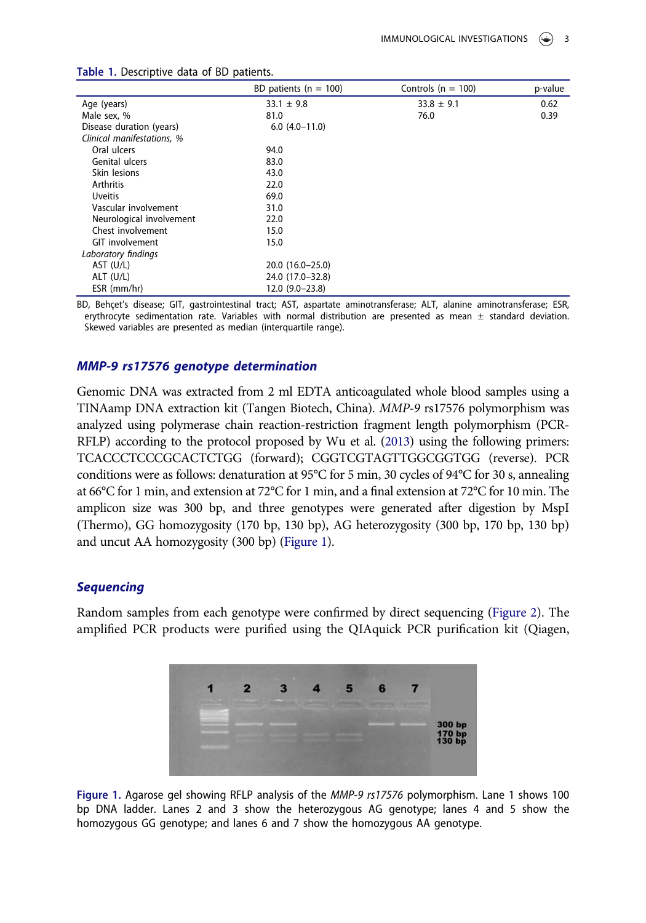|                            | BD patients ( $n = 100$ ) | Controls ( $n = 100$ ) | p-value |
|----------------------------|---------------------------|------------------------|---------|
| Age (years)                | $33.1 \pm 9.8$            | $33.8 \pm 9.1$         | 0.62    |
| Male sex, %                | 81.0                      | 76.0                   | 0.39    |
| Disease duration (years)   | $6.0(4.0-11.0)$           |                        |         |
| Clinical manifestations, % |                           |                        |         |
| Oral ulcers                | 94.0                      |                        |         |
| Genital ulcers             | 83.0                      |                        |         |
| Skin lesions               | 43.0                      |                        |         |
| <b>Arthritis</b>           | 22.0                      |                        |         |
| <b>Uveitis</b>             | 69.0                      |                        |         |
| Vascular involvement       | 31.0                      |                        |         |
| Neurological involvement   | 22.0                      |                        |         |
| Chest involvement          | 15.0                      |                        |         |
| GIT involvement            | 15.0                      |                        |         |
| Laboratory findings        |                           |                        |         |
| AST (U/L)                  | $20.0(16.0-25.0)$         |                        |         |
| $ALT$ (U/L)                | 24.0 (17.0-32.8)          |                        |         |
| ESR (mm/hr)                | $12.0(9.0-23.8)$          |                        |         |

<span id="page-3-0"></span>Table 1. Descriptive data of BD patients.

BD, Behçet's disease; GIT, gastrointestinal tract; AST, aspartate aminotransferase; ALT, alanine aminotransferase; ESR, erythrocyte sedimentation rate. Variables with normal distribution are presented as mean  $\pm$  standard deviation. Skewed variables are presented as median (interquartile range).

#### MMP-9 rs17576 genotype determination

Genomic DNA was extracted from 2 ml EDTA anticoagulated whole blood samples using a TINAamp DNA extraction kit (Tangen Biotech, China). MMP-9 rs17576 polymorphism was analyzed using polymerase chain reaction-restriction fragment length polymorphism (PCR-RFLP) according to the protocol proposed by Wu et al. [\(2013\)](#page-9-3) using the following primers: TCACCCTCCCGCACTCTGG (forward); CGGTCGTAGTTGGCGGTGG (reverse). PCR conditions were as follows: denaturation at 95°C for 5 min, 30 cycles of 94°C for 30 s, annealing at 66°C for 1 min, and extension at 72°C for 1 min, and a final extension at 72°C for 10 min. The amplicon size was 300 bp, and three genotypes were generated after digestion by MspI (Thermo), GG homozygosity (170 bp, 130 bp), AG heterozygosity (300 bp, 170 bp, 130 bp) and uncut AA homozygosity (300 bp) ([Figure 1](#page-3-1)).

#### **Sequencing**

Random samples from each genotype were confirmed by direct sequencing [\(Figure 2\)](#page-4-0). The amplified PCR products were purified using the QIAquick PCR purification kit (Qiagen,



<span id="page-3-1"></span>Figure 1. Agarose gel showing RFLP analysis of the MMP-9 rs17576 polymorphism. Lane 1 shows 100 bp DNA ladder. Lanes 2 and 3 show the heterozygous AG genotype; lanes 4 and 5 show the homozygous GG genotype; and lanes 6 and 7 show the homozygous AA genotype.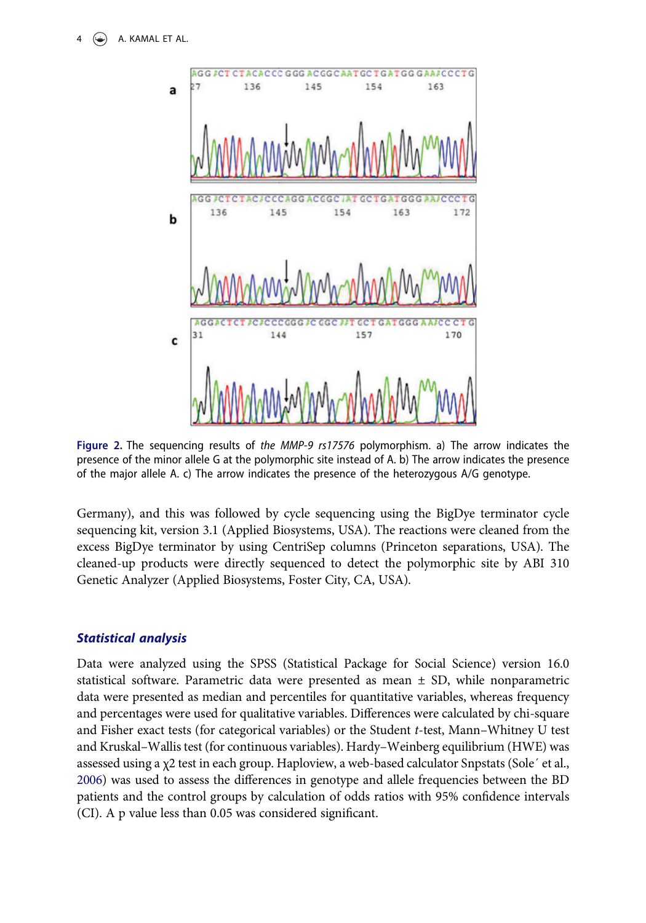A. KAMAL ET AL.



<span id="page-4-0"></span>Figure 2. The sequencing results of the MMP-9 rs17576 polymorphism. a) The arrow indicates the presence of the minor allele G at the polymorphic site instead of A. b) The arrow indicates the presence of the major allele A. c) The arrow indicates the presence of the heterozygous A/G genotype.

Germany), and this was followed by cycle sequencing using the BigDye terminator cycle sequencing kit, version 3.1 (Applied Biosystems, USA). The reactions were cleaned from the excess BigDye terminator by using CentriSep columns (Princeton separations, USA). The cleaned-up products were directly sequenced to detect the polymorphic site by ABI 310 Genetic Analyzer (Applied Biosystems, Foster City, CA, USA).

# Statistical analysis

Data were analyzed using the SPSS (Statistical Package for Social Science) version 16.0 statistical software. Parametric data were presented as mean ± SD, while nonparametric data were presented as median and percentiles for quantitative variables, whereas frequency and percentages were used for qualitative variables. Differences were calculated by chi-square and Fisher exact tests (for categorical variables) or the Student t-test, Mann–Whitney U test and Kruskal–Wallis test (for continuous variables). Hardy–Weinberg equilibrium (HWE) was assessed using a χ2 test in each group. Haploview, a web-based calculator Snpstats (Sole´ et al., [2006\)](#page-9-4) was used to assess the differences in genotype and allele frequencies between the BD patients and the control groups by calculation of odds ratios with 95% confidence intervals (CI). A p value less than 0.05 was considered significant.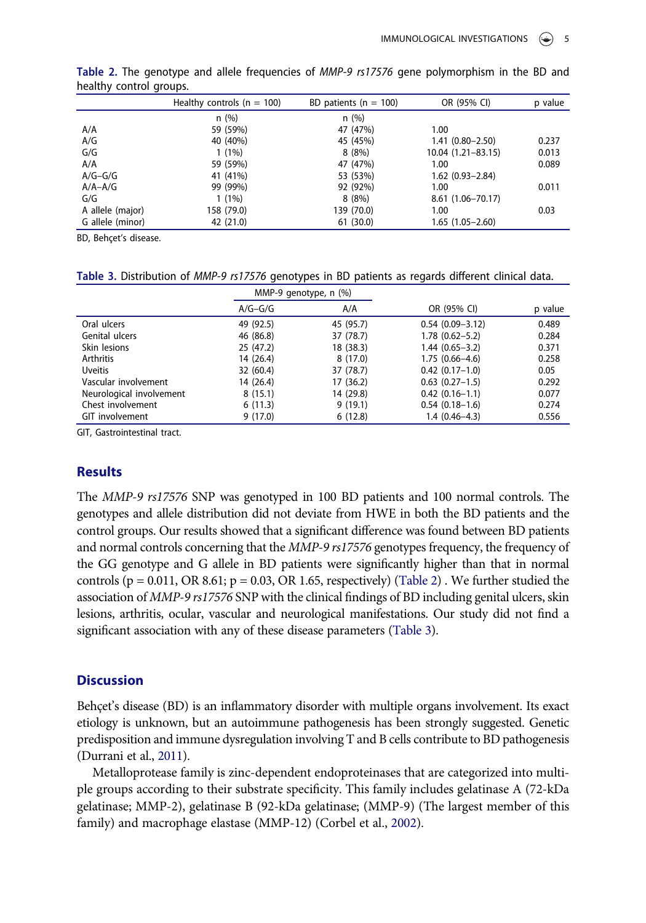|                  | Healthy controls ( $n = 100$ ) | BD patients ( $n = 100$ ) | OR (95% CI)          | p value |
|------------------|--------------------------------|---------------------------|----------------------|---------|
|                  | n(%)                           | n(%)                      |                      |         |
| A/A              | 59 (59%)                       | 47 (47%)                  | 1.00                 |         |
| A/G              | 40 (40%)                       | 45 (45%)                  | $1.41(0.80 - 2.50)$  | 0.237   |
| G/G              | $1(1\%)$                       | 8(8%)                     | 10.04 (1.21-83.15)   | 0.013   |
| A/A              | 59 (59%)                       | 47 (47%)                  | 1.00                 | 0.089   |
| $A/G-G/G$        | 41 (41%)                       | 53 (53%)                  | $1.62(0.93 - 2.84)$  |         |
| $A/A - A/G$      | 99 (99%)                       | 92 (92%)                  | 1.00                 | 0.011   |
| G/G              | $1(1\%)$                       | 8(8%)                     | $8.61(1.06 - 70.17)$ |         |
| A allele (major) | 158 (79.0)                     | 139 (70.0)                | 1.00                 | 0.03    |
| G allele (minor) | 42 (21.0)                      | 61(30.0)                  | $1.65(1.05-2.60)$    |         |

<span id="page-5-0"></span>Table 2. The genotype and allele frequencies of MMP-9 rs17576 gene polymorphism in the BD and healthy control groups.

BD, Behçet's disease.

<span id="page-5-1"></span>Table 3. Distribution of MMP-9 rs17576 genotypes in BD patients as regards different clinical data.

|                          | MMP-9 genotype, n (%) |           |                     |         |
|--------------------------|-----------------------|-----------|---------------------|---------|
|                          | $A/G-G/G$             | A/A       | OR (95% CI)         | p value |
| Oral ulcers              | 49 (92.5)             | 45 (95.7) | $0.54(0.09 - 3.12)$ | 0.489   |
| Genital ulcers           | 46 (86.8)             | 37 (78.7) | $1.78(0.62 - 5.2)$  | 0.284   |
| Skin lesions             | 25(47.2)              | 18 (38.3) | $1.44(0.65-3.2)$    | 0.371   |
| Arthritis                | 14 (26.4)             | 8(17.0)   | $1.75(0.66 - 4.6)$  | 0.258   |
| <b>Uveitis</b>           | 32(60.4)              | 37 (78.7) | $0.42(0.17-1.0)$    | 0.05    |
| Vascular involvement     | 14 (26.4)             | 17 (36.2) | $0.63$ $(0.27-1.5)$ | 0.292   |
| Neurological involvement | 8(15.1)               | 14 (29.8) | $0.42(0.16-1.1)$    | 0.077   |
| Chest involvement        | 6(11.3)               | 9(19.1)   | $0.54(0.18-1.6)$    | 0.274   |
| GIT involvement          | 9(17.0)               | 6(12.8)   | $1.4(0.46-4.3)$     | 0.556   |

GIT, Gastrointestinal tract.

# Results

The MMP-9 rs17576 SNP was genotyped in 100 BD patients and 100 normal controls. The genotypes and allele distribution did not deviate from HWE in both the BD patients and the control groups. Our results showed that a significant difference was found between BD patients and normal controls concerning that the *MMP-9 rs17576* genotypes frequency, the frequency of the GG genotype and G allele in BD patients were significantly higher than that in normal controls ( $p = 0.011$ , OR 8.61;  $p = 0.03$ , OR 1.65, respectively) [\(Table 2\)](#page-5-0). We further studied the association of MMP-9 rs17576 SNP with the clinical findings of BD including genital ulcers, skin lesions, arthritis, ocular, vascular and neurological manifestations. Our study did not find a significant association with any of these disease parameters [\(Table 3](#page-5-1)).

#### **Discussion**

Behçet's disease (BD) is an inflammatory disorder with multiple organs involvement. Its exact etiology is unknown, but an autoimmune pathogenesis has been strongly suggested. Genetic predisposition and immune dysregulation involving T and B cells contribute to BD pathogenesis (Durrani et al., [2011\)](#page-8-0).

Metalloprotease family is zinc-dependent endoproteinases that are categorized into multiple groups according to their substrate specificity. This family includes gelatinase A (72-kDa gelatinase; MMP-2), gelatinase B (92-kDa gelatinase; (MMP-9) (The largest member of this family) and macrophage elastase (MMP-12) (Corbel et al., [2002\)](#page-8-10).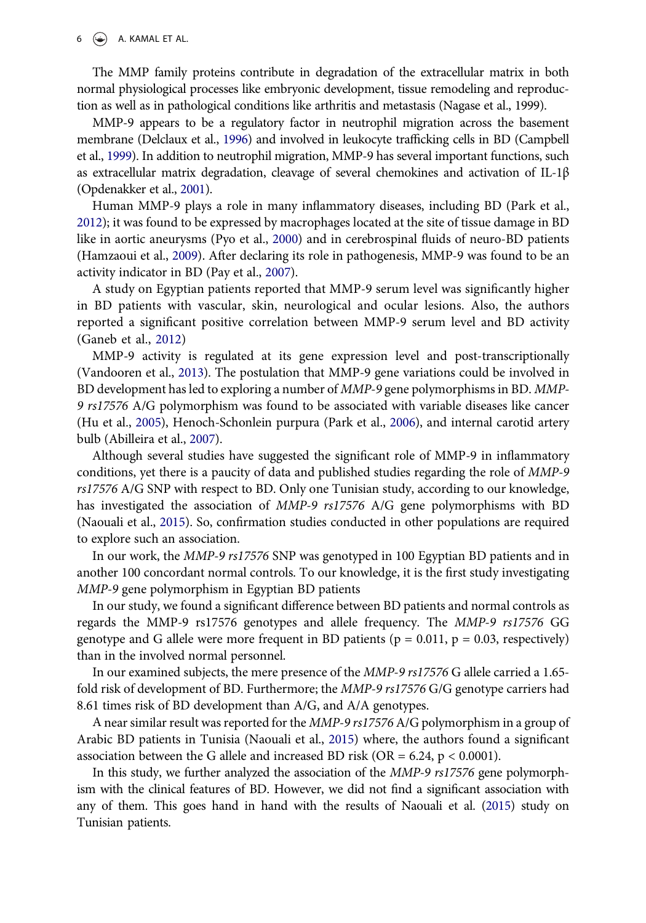#### $6 \quad (*)$  A. KAMAL ET AL.

The MMP family proteins contribute in degradation of the extracellular matrix in both normal physiological processes like embryonic development, tissue remodeling and reproduction as well as in pathological conditions like arthritis and metastasis (Nagase et al., 1999).

MMP-9 appears to be a regulatory factor in neutrophil migration across the basement membrane (Delclaux et al., [1996](#page-8-11)) and involved in leukocyte trafficking cells in BD (Campbell et al., [1999\)](#page-7-3). In addition to neutrophil migration, MMP-9 has several important functions, such as extracellular matrix degradation, cleavage of several chemokines and activation of IL-1 $\beta$ (Opdenakker et al., [2001](#page-8-12)).

Human MMP-9 plays a role in many inflammatory diseases, including BD (Park et al., [2012\)](#page-8-13); it was found to be expressed by macrophages located at the site of tissue damage in BD like in aortic aneurysms (Pyo et al., [2000](#page-8-14)) and in cerebrospinal fluids of neuro-BD patients (Hamzaoui et al., [2009](#page-8-15)). After declaring its role in pathogenesis, MMP-9 was found to be an activity indicator in BD (Pay et al., [2007\)](#page-8-16).

A study on Egyptian patients reported that MMP-9 serum level was significantly higher in BD patients with vascular, skin, neurological and ocular lesions. Also, the authors reported a significant positive correlation between MMP-9 serum level and BD activity (Ganeb et al., [2012\)](#page-8-17)

MMP-9 activity is regulated at its gene expression level and post-transcriptionally (Vandooren et al., [2013\)](#page-9-5). The postulation that MMP-9 gene variations could be involved in BD development has led to exploring a number of MMP-9 gene polymorphisms in BD. MMP-9 rs17576 A/G polymorphism was found to be associated with variable diseases like cancer (Hu et al., [2005\)](#page-8-18), Henoch-Schonlein purpura (Park et al., [2006\)](#page-8-19), and internal carotid artery bulb (Abilleira et al., [2007\)](#page-7-4).

Although several studies have suggested the significant role of MMP-9 in inflammatory conditions, yet there is a paucity of data and published studies regarding the role of MMP-9 rs17576 A/G SNP with respect to BD. Only one Tunisian study, according to our knowledge, has investigated the association of MMP-9 rs17576 A/G gene polymorphisms with BD (Naouali et al., [2015](#page-8-8)). So, confirmation studies conducted in other populations are required to explore such an association.

In our work, the MMP-9 rs17576 SNP was genotyped in 100 Egyptian BD patients and in another 100 concordant normal controls. To our knowledge, it is the first study investigating MMP-9 gene polymorphism in Egyptian BD patients

In our study, we found a significant difference between BD patients and normal controls as regards the MMP-9 rs17576 genotypes and allele frequency. The MMP-9 rs17576 GG genotype and G allele were more frequent in BD patients ( $p = 0.011$ ,  $p = 0.03$ , respectively) than in the involved normal personnel.

In our examined subjects, the mere presence of the MMP-9 rs17576 G allele carried a 1.65 fold risk of development of BD. Furthermore; the MMP-9 rs17576 G/G genotype carriers had 8.61 times risk of BD development than A/G, and A/A genotypes.

A near similar result was reported for the MMP-9 rs17576 A/G polymorphism in a group of Arabic BD patients in Tunisia (Naouali et al., [2015](#page-8-8)) where, the authors found a significant association between the G allele and increased BD risk (OR =  $6.24$ , p <  $0.0001$ ).

In this study, we further analyzed the association of the MMP-9 rs17576 gene polymorphism with the clinical features of BD. However, we did not find a significant association with any of them. This goes hand in hand with the results of Naouali et al. [\(2015](#page-8-8)) study on Tunisian patients.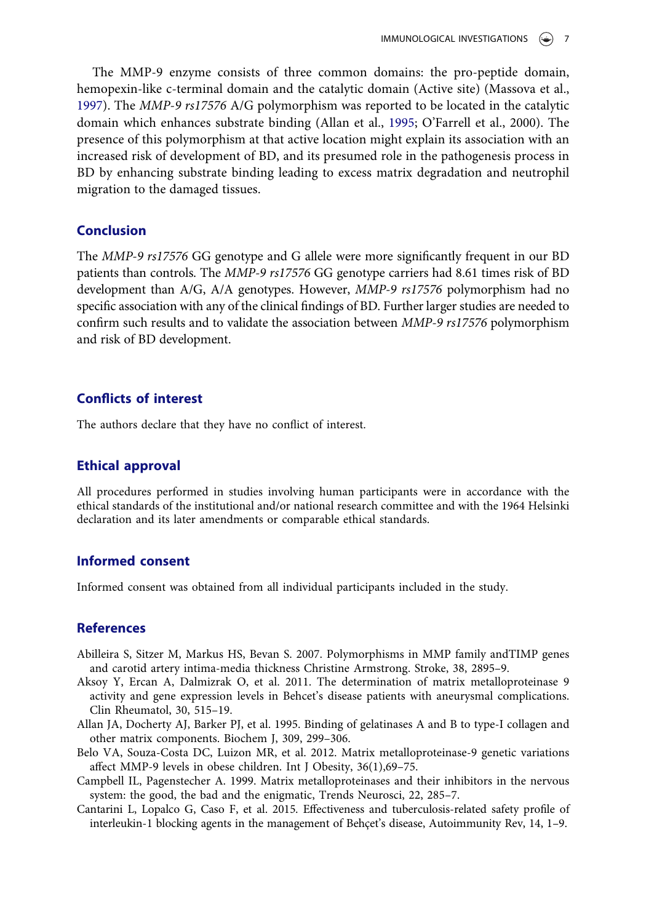The MMP-9 enzyme consists of three common domains: the pro-peptide domain, hemopexin-like c-terminal domain and the catalytic domain (Active site) (Massova et al., [1997](#page-8-20)). The MMP-9 rs17576 A/G polymorphism was reported to be located in the catalytic domain which enhances substrate binding (Allan et al., [1995](#page-7-5); O'Farrell et al., 2000). The presence of this polymorphism at that active location might explain its association with an increased risk of development of BD, and its presumed role in the pathogenesis process in BD by enhancing substrate binding leading to excess matrix degradation and neutrophil migration to the damaged tissues.

# Conclusion

The MMP-9 rs17576 GG genotype and G allele were more significantly frequent in our BD patients than controls. The MMP-9 rs17576 GG genotype carriers had 8.61 times risk of BD development than A/G, A/A genotypes. However, *MMP-9 rs17576* polymorphism had no specific association with any of the clinical findings of BD. Further larger studies are needed to confirm such results and to validate the association between MMP-9 rs17576 polymorphism and risk of BD development.

#### Conflicts of interest

The authors declare that they have no conflict of interest.

#### Ethical approval

All procedures performed in studies involving human participants were in accordance with the ethical standards of the institutional and/or national research committee and with the 1964 Helsinki declaration and its later amendments or comparable ethical standards.

# Informed consent

Informed consent was obtained from all individual participants included in the study.

# **References**

- <span id="page-7-4"></span>Abilleira S, Sitzer M, Markus HS, Bevan S. 2007. Polymorphisms in MMP family andTIMP genes and carotid artery intima-media thickness Christine Armstrong. Stroke, 38, 2895–9.
- <span id="page-7-0"></span>Aksoy Y, Ercan A, Dalmizrak O, et al. 2011. The determination of matrix metalloproteinase 9 activity and gene expression levels in Behcet's disease patients with aneurysmal complications. Clin Rheumatol, 30, 515–19.
- <span id="page-7-5"></span>Allan JA, Docherty AJ, Barker PJ, et al. 1995. Binding of gelatinases A and B to type-I collagen and other matrix components. Biochem J, 309, 299–306.
- <span id="page-7-2"></span>Belo VA, Souza-Costa DC, Luizon MR, et al. 2012. Matrix metalloproteinase-9 genetic variations affect MMP-9 levels in obese children. Int J Obesity, 36(1),69–75.
- <span id="page-7-3"></span>Campbell IL, Pagenstecher A. 1999. Matrix metalloproteinases and their inhibitors in the nervous system: the good, the bad and the enigmatic, Trends Neurosci, 22, 285–7.
- <span id="page-7-1"></span>Cantarini L, Lopalco G, Caso F, et al. 2015. Effectiveness and tuberculosis-related safety profile of interleukin-1 blocking agents in the management of Behçet's disease, Autoimmunity Rev, 14, 1–9.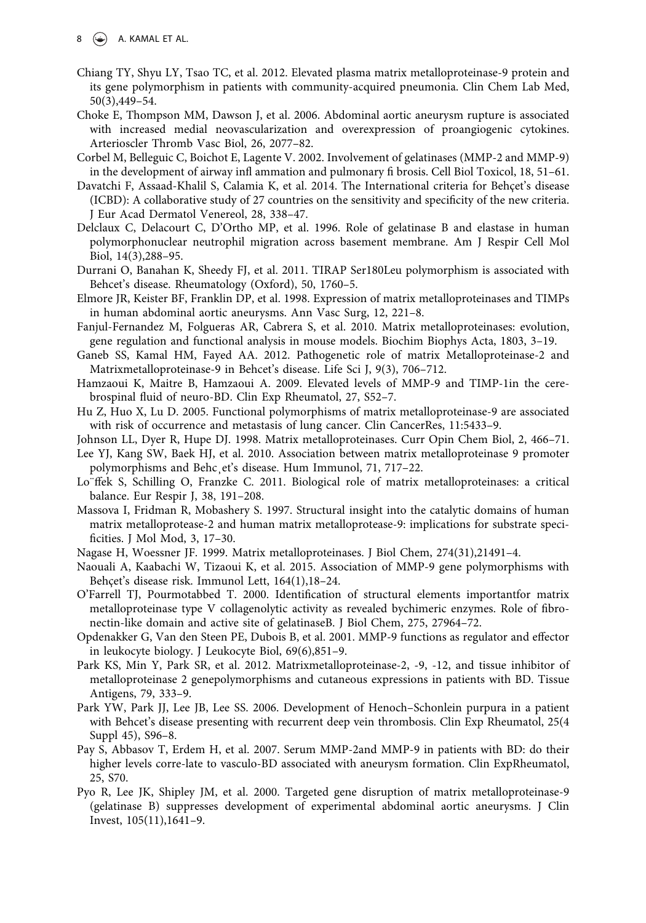$8 \leftrightarrow$  A. KAMAL ET AL.

- <span id="page-8-7"></span>Chiang TY, Shyu LY, Tsao TC, et al. 2012. Elevated plasma matrix metalloproteinase-9 protein and its gene polymorphism in patients with community-acquired pneumonia. Clin Chem Lab Med, 50(3),449–54.
- <span id="page-8-1"></span>Choke E, Thompson MM, Dawson J, et al. 2006. Abdominal aortic aneurysm rupture is associated with increased medial neovascularization and overexpression of proangiogenic cytokines. Arterioscler Thromb Vasc Biol, 26, 2077–82.
- <span id="page-8-10"></span>Corbel M, Belleguic C, Boichot E, Lagente V. 2002. Involvement of gelatinases (MMP-2 and MMP-9) in the development of airway infl ammation and pulmonary fi brosis. Cell Biol Toxicol, 18, 51–61.
- <span id="page-8-9"></span>Davatchi F, Assaad-Khalil S, Calamia K, et al. 2014. The International criteria for Behçet's disease (ICBD): A collaborative study of 27 countries on the sensitivity and specificity of the new criteria. J Eur Acad Dermatol Venereol, 28, 338–47.
- <span id="page-8-11"></span>Delclaux C, Delacourt C, D'Ortho MP, et al. 1996. Role of gelatinase B and elastase in human polymorphonuclear neutrophil migration across basement membrane. Am J Respir Cell Mol Biol, 14(3),288–95.
- <span id="page-8-0"></span>Durrani O, Banahan K, Sheedy FJ, et al. 2011. TIRAP Ser180Leu polymorphism is associated with Behcet's disease. Rheumatology (Oxford), 50, 1760–5.
- <span id="page-8-4"></span>Elmore JR, Keister BF, Franklin DP, et al. 1998. Expression of matrix metalloproteinases and TIMPs in human abdominal aortic aneurysms. Ann Vasc Surg, 12, 221–8.
- <span id="page-8-3"></span>Fanjul-Fernandez M, Folgueras AR, Cabrera S, et al. 2010. Matrix metalloproteinases: evolution, gene regulation and functional analysis in mouse models. Biochim Biophys Acta, 1803, 3–19.
- <span id="page-8-17"></span>Ganeb SS, Kamal HM, Fayed AA. 2012. Pathogenetic role of matrix Metalloproteinase-2 and Matrixmetalloproteinase-9 in Behcet's disease. Life Sci J, 9(3), 706–712.
- <span id="page-8-15"></span>Hamzaoui K, Maitre B, Hamzaoui A. 2009. Elevated levels of MMP-9 and TIMP-1in the cerebrospinal fluid of neuro-BD. Clin Exp Rheumatol, 27, S52–7.
- <span id="page-8-18"></span>Hu Z, Huo X, Lu D. 2005. Functional polymorphisms of matrix metalloproteinase-9 are associated with risk of occurrence and metastasis of lung cancer. Clin CancerRes, 11:5433–9.
- <span id="page-8-5"></span>Johnson LL, Dyer R, Hupe DJ. 1998. Matrix metalloproteinases. Curr Opin Chem Biol, 2, 466–71.
- <span id="page-8-6"></span>Lee YJ, Kang SW, Baek HJ, et al. 2010. Association between matrix metalloproteinase 9 promoter polymorphisms and Behc¸et's disease. Hum Immunol, 71, 717–22.
- <span id="page-8-2"></span>Lo¨ffek S, Schilling O, Franzke C. 2011. Biological role of matrix metalloproteinases: a critical balance. Eur Respir J, 38, 191–208.
- <span id="page-8-20"></span>Massova I, Fridman R, Mobashery S. 1997. Structural insight into the catalytic domains of human matrix metalloprotease-2 and human matrix metalloprotease-9: implications for substrate specificities. J Mol Mod, 3, 17–30.
- Nagase H, Woessner JF. 1999. Matrix metalloproteinases. J Biol Chem, 274(31),21491–4.
- <span id="page-8-8"></span>Naouali A, Kaabachi W, Tizaoui K, et al. 2015. Association of MMP-9 gene polymorphisms with Behçet's disease risk. Immunol Lett, 164(1),18–24.
- O'Farrell TJ, Pourmotabbed T. 2000. Identification of structural elements importantfor matrix metalloproteinase type V collagenolytic activity as revealed bychimeric enzymes. Role of fibronectin-like domain and active site of gelatinaseB. J Biol Chem, 275, 27964–72.
- <span id="page-8-12"></span>Opdenakker G, Van den Steen PE, Dubois B, et al. 2001. MMP-9 functions as regulator and effector in leukocyte biology. J Leukocyte Biol, 69(6),851–9.
- <span id="page-8-13"></span>Park KS, Min Y, Park SR, et al. 2012. Matrixmetalloproteinase-2, -9, -12, and tissue inhibitor of metalloproteinase 2 genepolymorphisms and cutaneous expressions in patients with BD. Tissue Antigens, 79, 333–9.
- <span id="page-8-19"></span>Park YW, Park JJ, Lee JB, Lee SS. 2006. Development of Henoch–Schonlein purpura in a patient with Behcet's disease presenting with recurrent deep vein thrombosis. Clin Exp Rheumatol, 25(4 Suppl 45), S96–8.
- <span id="page-8-16"></span>Pay S, Abbasov T, Erdem H, et al. 2007. Serum MMP-2and MMP-9 in patients with BD: do their higher levels corre-late to vasculo-BD associated with aneurysm formation. Clin ExpRheumatol, 25, S70.
- <span id="page-8-14"></span>Pyo R, Lee JK, Shipley JM, et al. 2000. Targeted gene disruption of matrix metalloproteinase-9 (gelatinase B) suppresses development of experimental abdominal aortic aneurysms. J Clin Invest, 105(11),1641–9.